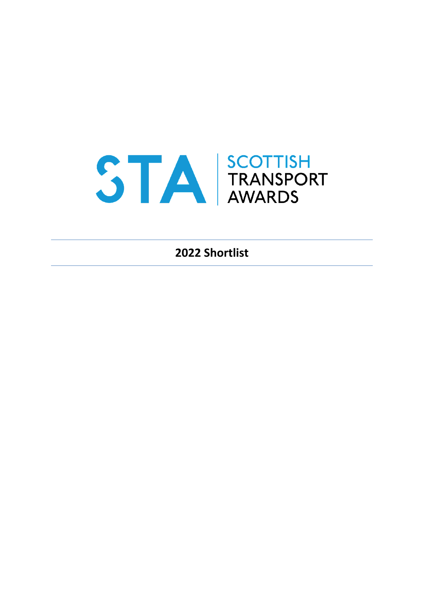# S TA RANSPORT

**2022 Shortlist**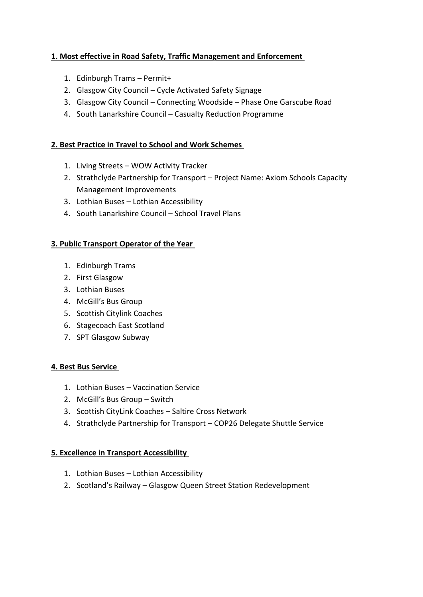# **1. Most effective in Road Safety, Traffic Management and Enforcement**

- 1. Edinburgh Trams Permit+
- 2. Glasgow City Council Cycle Activated Safety Signage
- 3. Glasgow City Council Connecting Woodside Phase One Garscube Road
- 4. South Lanarkshire Council Casualty Reduction Programme

# **2. Best Practice in Travel to School and Work Schemes**

- 1. Living Streets WOW Activity Tracker
- 2. Strathclyde Partnership for Transport Project Name: Axiom Schools Capacity Management Improvements
- 3. Lothian Buses Lothian Accessibility
- 4. South Lanarkshire Council School Travel Plans

### **3. Public Transport Operator of the Year**

- 1. Edinburgh Trams
- 2. First Glasgow
- 3. Lothian Buses
- 4. McGill's Bus Group
- 5. Scottish Citylink Coaches
- 6. Stagecoach East Scotland
- 7. SPT Glasgow Subway

# **4. Best Bus Service**

- 1. Lothian Buses Vaccination Service
- 2. McGill's Bus Group Switch
- 3. Scottish CityLink Coaches Saltire Cross Network
- 4. Strathclyde Partnership for Transport COP26 Delegate Shuttle Service

# **5. Excellence in Transport Accessibility**

- 1. Lothian Buses Lothian Accessibility
- 2. Scotland's Railway Glasgow Queen Street Station Redevelopment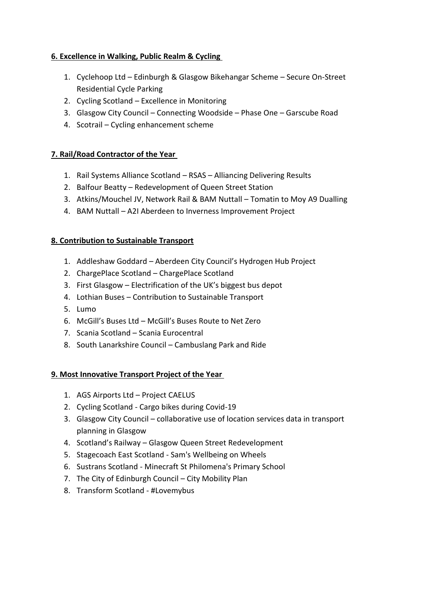# **6. Excellence in Walking, Public Realm & Cycling**

- 1. Cyclehoop Ltd Edinburgh & Glasgow Bikehangar Scheme Secure On-Street Residential Cycle Parking
- 2. Cycling Scotland Excellence in Monitoring
- 3. Glasgow City Council Connecting Woodside Phase One Garscube Road
- 4. Scotrail Cycling enhancement scheme

# **7. Rail/Road Contractor of the Year**

- 1. Rail Systems Alliance Scotland RSAS Alliancing Delivering Results
- 2. Balfour Beatty Redevelopment of Queen Street Station
- 3. Atkins/Mouchel JV, Network Rail & BAM Nuttall Tomatin to Moy A9 Dualling
- 4. BAM Nuttall A2I Aberdeen to Inverness Improvement Project

# **8. Contribution to Sustainable Transport**

- 1. Addleshaw Goddard Aberdeen City Council's Hydrogen Hub Project
- 2. ChargePlace Scotland ChargePlace Scotland
- 3. First Glasgow Electrification of the UK's biggest bus depot
- 4. Lothian Buses Contribution to Sustainable Transport
- 5. Lumo
- 6. McGill's Buses Ltd McGill's Buses Route to Net Zero
- 7. Scania Scotland Scania Eurocentral
- 8. South Lanarkshire Council Cambuslang Park and Ride

# **9. Most Innovative Transport Project of the Year**

- 1. AGS Airports Ltd Project CAELUS
- 2. Cycling Scotland Cargo bikes during Covid-19
- 3. Glasgow City Council collaborative use of location services data in transport planning in Glasgow
- 4. Scotland's Railway Glasgow Queen Street Redevelopment
- 5. Stagecoach East Scotland Sam's Wellbeing on Wheels
- 6. Sustrans Scotland Minecraft St Philomena's Primary School
- 7. The City of Edinburgh Council City Mobility Plan
- 8. Transform Scotland #Lovemybus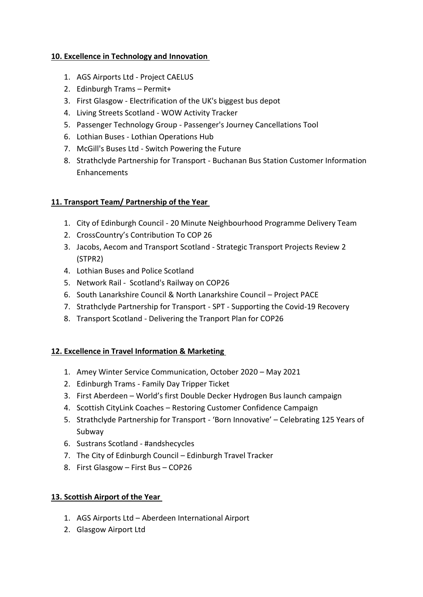# **10. Excellence in Technology and Innovation**

- 1. AGS Airports Ltd Project CAELUS
- 2. Edinburgh Trams Permit+
- 3. First Glasgow Electrification of the UK's biggest bus depot
- 4. Living Streets Scotland WOW Activity Tracker
- 5. Passenger Technology Group Passenger's Journey Cancellations Tool
- 6. Lothian Buses Lothian Operations Hub
- 7. McGill's Buses Ltd Switch Powering the Future
- 8. Strathclyde Partnership for Transport Buchanan Bus Station Customer Information Enhancements

# **11. Transport Team/ Partnership of the Year**

- 1. City of Edinburgh Council 20 Minute Neighbourhood Programme Delivery Team
- 2. CrossCountry's Contribution To COP 26
- 3. Jacobs, Aecom and Transport Scotland Strategic Transport Projects Review 2 (STPR2)
- 4. Lothian Buses and Police Scotland
- 5. Network Rail Scotland's Railway on COP26
- 6. South Lanarkshire Council & North Lanarkshire Council Project PACE
- 7. Strathclyde Partnership for Transport SPT Supporting the Covid-19 Recovery
- 8. Transport Scotland Delivering the Tranport Plan for COP26

# **12. Excellence in Travel Information & Marketing**

- 1. Amey Winter Service Communication, October 2020 May 2021
- 2. Edinburgh Trams Family Day Tripper Ticket
- 3. First Aberdeen World's first Double Decker Hydrogen Bus launch campaign
- 4. Scottish CityLink Coaches Restoring Customer Confidence Campaign
- 5. Strathclyde Partnership for Transport 'Born Innovative' Celebrating 125 Years of Subway
- 6. Sustrans Scotland #andshecycles
- 7. The City of Edinburgh Council Edinburgh Travel Tracker
- 8. First Glasgow First Bus COP26

# **13. Scottish Airport of the Year**

- 1. AGS Airports Ltd Aberdeen International Airport
- 2. Glasgow Airport Ltd